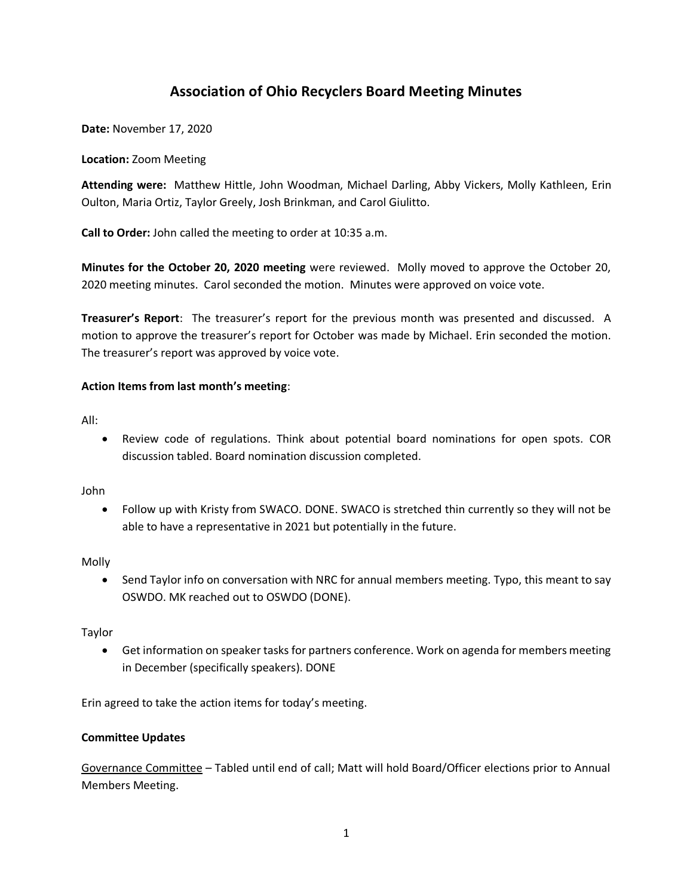# **Association of Ohio Recyclers Board Meeting Minutes**

**Date:** November 17, 2020

#### **Location:** Zoom Meeting

**Attending were:** Matthew Hittle, John Woodman, Michael Darling, Abby Vickers, Molly Kathleen, Erin Oulton, Maria Ortiz, Taylor Greely, Josh Brinkman, and Carol Giulitto.

**Call to Order:** John called the meeting to order at 10:35 a.m.

**Minutes for the October 20, 2020 meeting** were reviewed. Molly moved to approve the October 20, 2020 meeting minutes. Carol seconded the motion. Minutes were approved on voice vote.

**Treasurer's Report**: The treasurer's report for the previous month was presented and discussed. A motion to approve the treasurer's report for October was made by Michael. Erin seconded the motion. The treasurer's report was approved by voice vote.

### **Action Items from last month's meeting**:

All:

• Review code of regulations. Think about potential board nominations for open spots. COR discussion tabled. Board nomination discussion completed.

John

• Follow up with Kristy from SWACO. DONE. SWACO is stretched thin currently so they will not be able to have a representative in 2021 but potentially in the future.

Molly

• Send Taylor info on conversation with NRC for annual members meeting. Typo, this meant to say OSWDO. MK reached out to OSWDO (DONE).

Taylor

• Get information on speaker tasks for partners conference. Work on agenda for members meeting in December (specifically speakers). DONE

Erin agreed to take the action items for today's meeting.

### **Committee Updates**

Governance Committee – Tabled until end of call; Matt will hold Board/Officer elections prior to Annual Members Meeting.